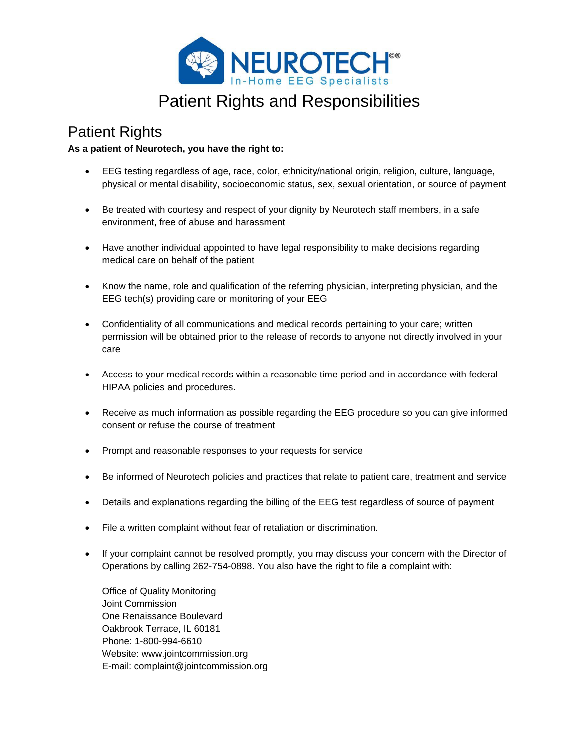

# Patient Rights and Responsibilities

### Patient Rights

### **As a patient of Neurotech, you have the right to:**

- EEG testing regardless of age, race, color, ethnicity/national origin, religion, culture, language, physical or mental disability, socioeconomic status, sex, sexual orientation, or source of payment
- Be treated with courtesy and respect of your dignity by Neurotech staff members, in a safe environment, free of abuse and harassment
- Have another individual appointed to have legal responsibility to make decisions regarding medical care on behalf of the patient
- Know the name, role and qualification of the referring physician, interpreting physician, and the EEG tech(s) providing care or monitoring of your EEG
- Confidentiality of all communications and medical records pertaining to your care; written permission will be obtained prior to the release of records to anyone not directly involved in your care
- Access to your medical records within a reasonable time period and in accordance with federal HIPAA policies and procedures.
- Receive as much information as possible regarding the EEG procedure so you can give informed consent or refuse the course of treatment
- Prompt and reasonable responses to your requests for service
- Be informed of Neurotech policies and practices that relate to patient care, treatment and service
- Details and explanations regarding the billing of the EEG test regardless of source of payment
- File a written complaint without fear of retaliation or discrimination.
- If your complaint cannot be resolved promptly, you may discuss your concern with the Director of Operations by calling 262-754-0898. You also have the right to file a complaint with:

Office of Quality Monitoring Joint Commission One Renaissance Boulevard Oakbrook Terrace, IL 60181 Phone: 1-800-994-6610 Website: www.jointcommission.org E-mail: complaint@jointcommission.org